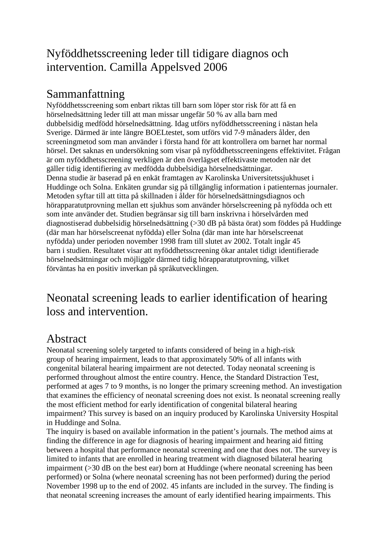## Nyföddhetsscreening leder till tidigare diagnos och intervention. Camilla Appelsved 2006

## Sammanfattning

Nyföddhetsscreening som enbart riktas till barn som löper stor risk för att få en hörselnedsättning leder till att man missar ungefär 50 % av alla barn med dubbelsidig medfödd hörselnedsättning. Idag utförs nyföddhetsscreening i nästan hela Sverige. Därmed är inte längre BOELtestet, som utförs vid 7-9 månaders ålder, den screeningmetod som man använder i första hand för att kontrollera om barnet har normal hörsel. Det saknas en undersökning som visar på nyföddhetsscreeningens effektivitet. Frågan är om nyföddhetsscreening verkligen är den överlägset effektivaste metoden när det gäller tidig identifiering av medfödda dubbelsidiga hörselnedsättningar. Denna studie är baserad på en enkät framtagen av Karolinska Universitetssjukhuset i Huddinge och Solna. Enkäten grundar sig på tillgänglig information i patienternas journaler. Metoden syftar till att titta på skillnaden i ålder för hörselnedsättningsdiagnos och hörapparatutprovning mellan ett sjukhus som använder hörselscreening på nyfödda och ett som inte använder det. Studien begränsar sig till barn inskrivna i hörselvården med diagnostiserad dubbelsidig hörselnedsättning (>30 dB på bästa örat) som föddes på Huddinge (där man har hörselscreenat nyfödda) eller Solna (där man inte har hörselscreenat nyfödda) under perioden november 1998 fram till slutet av 2002. Totalt ingår 45 barn i studien. Resultatet visar att nyföddhetsscreening ökar antalet tidigt identifierade hörselnedsättningar och möjliggör därmed tidig hörapparatutprovning, vilket förväntas ha en positiv inverkan på språkutvecklingen.

## Neonatal screening leads to earlier identification of hearing loss and intervention.

## Abstract

Neonatal screening solely targeted to infants considered of being in a high-risk group of hearing impairment, leads to that approximately 50% of all infants with congenital bilateral hearing impairment are not detected. Today neonatal screening is performed throughout almost the entire country. Hence, the Standard Distraction Test, performed at ages 7 to 9 months, is no longer the primary screening method. An investigation that examines the efficiency of neonatal screening does not exist. Is neonatal screening really the most efficient method for early identification of congenital bilateral hearing impairment? This survey is based on an inquiry produced by Karolinska University Hospital in Huddinge and Solna.

The inquiry is based on available information in the patient's journals. The method aims at finding the difference in age for diagnosis of hearing impairment and hearing aid fitting between a hospital that performance neonatal screening and one that does not. The survey is limited to infants that are enrolled in hearing treatment with diagnosed bilateral hearing impairment (>30 dB on the best ear) born at Huddinge (where neonatal screening has been performed) or Solna (where neonatal screening has not been performed) during the period November 1998 up to the end of 2002. 45 infants are included in the survey. The finding is that neonatal screening increases the amount of early identified hearing impairments. This